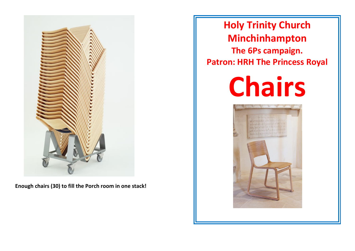

**Enough chairs (30) to fill the Porch room in one stack!**

**Holy Trinity Church Minchinhampton The 6Ps campaign. Patron: HRH The Princess Royal Chairs**